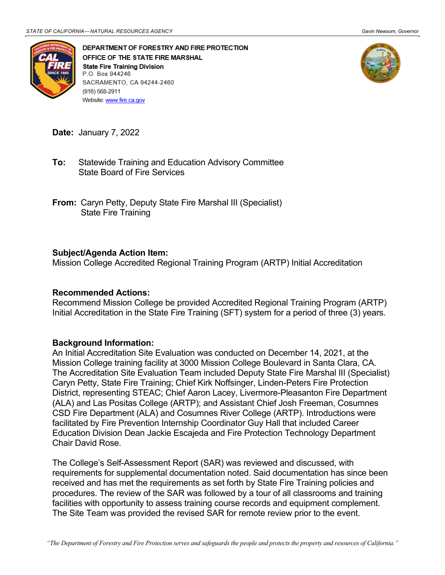

DEPARTMENT OF FORESTRY AND FIRE PROTECTION OFFICE OF THE STATE FIRE MARSHAL **State Fire Training Division** P.O. Box 944246 SACRAMENTO, CA 94244-2460 (916) 568-2911 Website: www.fire.ca.gov



**Date:** January 7, 2022

- State Board of Fire Services **To:** Statewide Training and Education Advisory Committee
- **From:** Caryn Petty, Deputy State Fire Marshal III (Specialist) State Fire Training

## **Subject/Agenda Action Item:**

Mission College Accredited Regional Training Program (ARTP) Initial Accreditation

## **Recommended Actions:**

 Initial Accreditation in the State Fire Training (SFT) system for a period of three (3) years. Recommend Mission College be provided Accredited Regional Training Program (ARTP)

## **Background Information:**

 Caryn Petty, State Fire Training; Chief Kirk Noffsinger, Linden-Peters Fire Protection An Initial Accreditation Site Evaluation was conducted on December 14, 2021, at the Mission College training facility at 3000 Mission College Boulevard in Santa Clara, CA. The Accreditation Site Evaluation Team included Deputy State Fire Marshal III (Specialist) District, representing STEAC; Chief Aaron Lacey, Livermore-Pleasanton Fire Department (ALA) and Las Positas College (ARTP); and Assistant Chief Josh Freeman, Cosumnes CSD Fire Department (ALA) and Cosumnes River College (ARTP). Introductions were facilitated by Fire Prevention Internship Coordinator Guy Hall that included Career Education Division Dean Jackie Escajeda and Fire Protection Technology Department Chair David Rose.

 The College's Self-Assessment Report (SAR) was reviewed and discussed, with received and has met the requirements as set forth by State Fire Training policies and procedures. The review of the SAR was followed by a tour of all classrooms and training requirements for supplemental documentation noted. Said documentation has since been facilities with opportunity to assess training course records and equipment complement. The Site Team was provided the revised SAR for remote review prior to the event.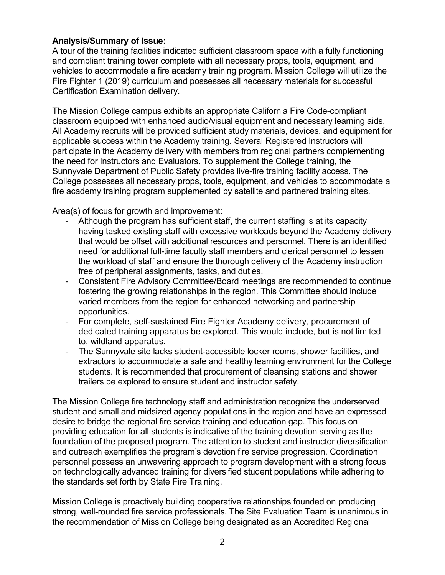## **Analysis/Summary of Issue:**

 and compliant training tower complete with all necessary props, tools, equipment, and vehicles to accommodate a fire academy training program. Mission College will utilize the A tour of the training facilities indicated sufficient classroom space with a fully functioning Fire Fighter 1 (2019) curriculum and possesses all necessary materials for successful Certification Examination delivery.

 All Academy recruits will be provided sufficient study materials, devices, and equipment for participate in the Academy delivery with members from regional partners complementing Sunnyvale Department of Public Safety provides live-fire training facility access. The The Mission College campus exhibits an appropriate California Fire Code-compliant classroom equipped with enhanced audio/visual equipment and necessary learning aids. applicable success within the Academy training. Several Registered Instructors will the need for Instructors and Evaluators. To supplement the College training, the College possesses all necessary props, tools, equipment, and vehicles to accommodate a fire academy training program supplemented by satellite and partnered training sites.

Area(s) of focus for growth and improvement:

- having tasked existing staff with excessive workloads beyond the Academy delivery the workload of staff and ensure the thorough delivery of the Academy instruction free of peripheral assignments, tasks, and duties. Although the program has sufficient staff, the current staffing is at its capacity that would be offset with additional resources and personnel. There is an identified need for additional full-time faculty staff members and clerical personnel to lessen
- Consistent Fire Advisory Committee/Board meetings are recommended to continue fostering the growing relationships in the region. This Committee should include varied members from the region for enhanced networking and partnership opportunities.
- - For complete, self-sustained Fire Fighter Academy delivery, procurement of dedicated training apparatus be explored. This would include, but is not limited to, wildland apparatus.
- - The Sunnyvale site lacks student-accessible locker rooms, shower facilities, and extractors to accommodate a safe and healthy learning environment for the College students. It is recommended that procurement of cleansing stations and shower trailers be explored to ensure student and instructor safety.

 student and small and midsized agency populations in the region and have an expressed personnel possess an unwavering approach to program development with a strong focus on technologically advanced training for diversified student populations while adhering to The Mission College fire technology staff and administration recognize the underserved desire to bridge the regional fire service training and education gap. This focus on providing education for all students is indicative of the training devotion serving as the foundation of the proposed program. The attention to student and instructor diversification and outreach exemplifies the program's devotion fire service progression. Coordination the standards set forth by State Fire Training.

 strong, well-rounded fire service professionals. The Site Evaluation Team is unanimous in the recommendation of Mission College being designated as an Accredited Regional Mission College is proactively building cooperative relationships founded on producing